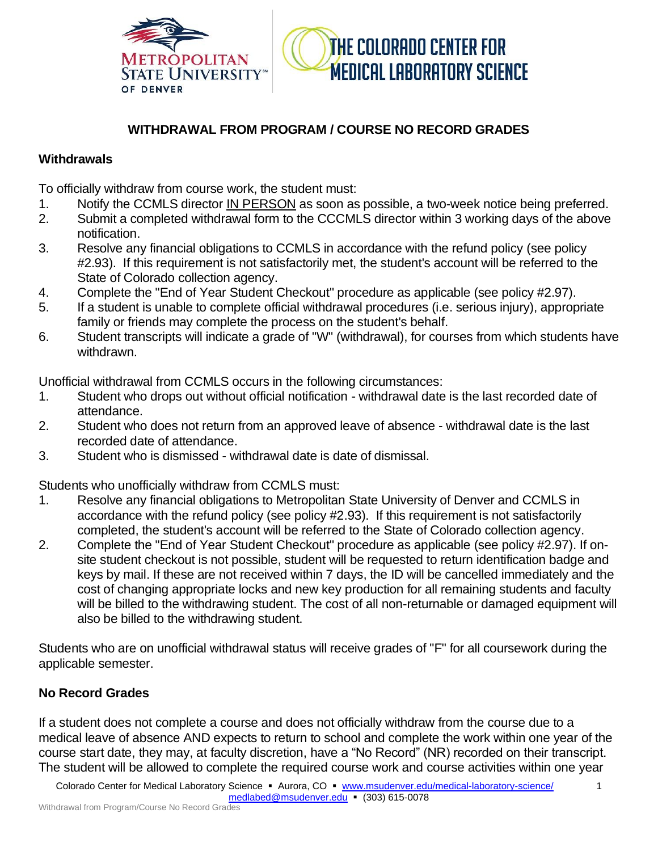



## **WITHDRAWAL FROM PROGRAM / COURSE NO RECORD GRADES**

## **Withdrawals**

To officially withdraw from course work, the student must:

- 1. Notify the CCMLS director IN PERSON as soon as possible, a two-week notice being preferred.
- 2. Submit a completed withdrawal form to the CCCMLS director within 3 working days of the above notification.
- 3. Resolve any financial obligations to CCMLS in accordance with the refund policy (see policy #2.93). If this requirement is not satisfactorily met, the student's account will be referred to the State of Colorado collection agency.
- 4. Complete the "End of Year Student Checkout" procedure as applicable (see policy #2.97).
- 5. If a student is unable to complete official withdrawal procedures (i.e. serious injury), appropriate family or friends may complete the process on the student's behalf.
- 6. Student transcripts will indicate a grade of "W" (withdrawal), for courses from which students have withdrawn.

Unofficial withdrawal from CCMLS occurs in the following circumstances:

- 1. Student who drops out without official notification withdrawal date is the last recorded date of attendance.
- 2. Student who does not return from an approved leave of absence withdrawal date is the last recorded date of attendance.
- 3. Student who is dismissed withdrawal date is date of dismissal.

Students who unofficially withdraw from CCMLS must:

- 1. Resolve any financial obligations to Metropolitan State University of Denver and CCMLS in accordance with the refund policy (see policy #2.93). If this requirement is not satisfactorily completed, the student's account will be referred to the State of Colorado collection agency.
- 2. Complete the "End of Year Student Checkout" procedure as applicable (see policy #2.97). If onsite student checkout is not possible, student will be requested to return identification badge and keys by mail. If these are not received within 7 days, the ID will be cancelled immediately and the cost of changing appropriate locks and new key production for all remaining students and faculty will be billed to the withdrawing student. The cost of all non-returnable or damaged equipment will also be billed to the withdrawing student.

Students who are on unofficial withdrawal status will receive grades of "F" for all coursework during the applicable semester.

## **No Record Grades**

If a student does not complete a course and does not officially withdraw from the course due to a medical leave of absence AND expects to return to school and complete the work within one year of the course start date, they may, at faculty discretion, have a "No Record" (NR) recorded on their transcript. The student will be allowed to complete the required course work and course activities within one year